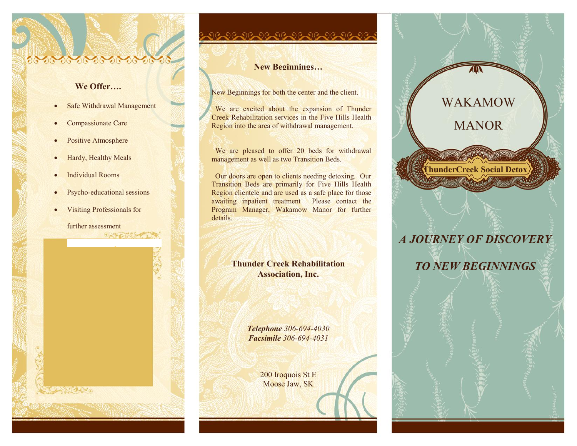#### **We Offer….**

- Safe Withdrawal Management
- Compassionate Care
- Positive Atmosphere
- Hardy, Healthy Meals
- Individual Rooms
- Psycho-educational sessions
- Visiting Professionals for

further assessment  $\circ$ 

#### **New Beginnings…**

New Beginnings for both the center and the client.

We are excited about the expansion of Thunder Creek Rehabilitation services in the Five Hills Health Region into the area of withdrawal management.

We are pleased to offer 20 beds for withdrawal management as well as two Transition Beds.

 Our doors are open to clients needing detoxing. Our Transition Beds are primarily for Five Hills Health Region clientele and are used as a safe place for those awaiting inpatient treatment Please contact the Program Manager, Wakamow Manor for further details.

> **Thunder Creek Rehabilitation Association, Inc.**

> > *Telephone 306-694-4030 Facsimile 306-694-4031*

> > > 200 Iroquois St E Moose Jaw, SK

# **ThunderCreek Social Detox** WAKAMOW MANOR

# *A JOURNEY OF DISCOVERY*

*TO NEW BEGINNINGS*